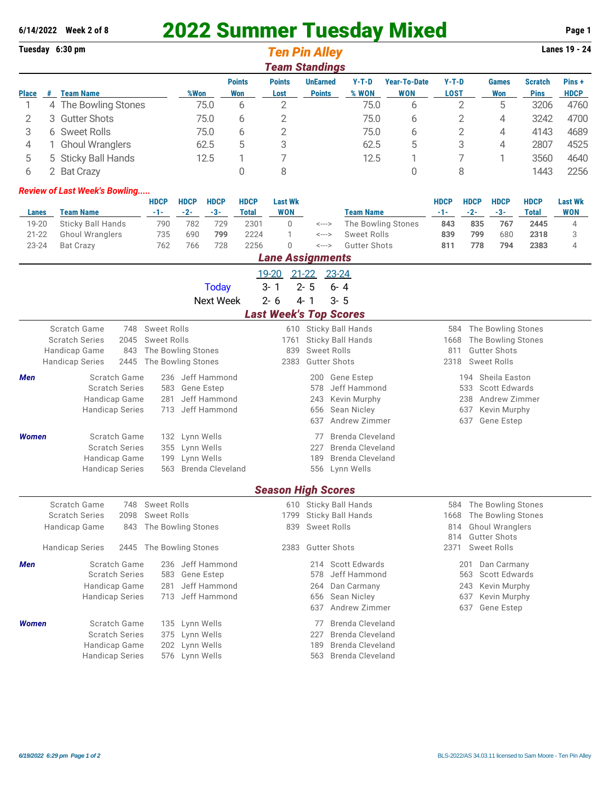## **6/14/2022 Week 2 of 8** 2022 Summer Tuesday Mixed **Page 1**

|                               |                              | Tuesday 6:30 pm                                                                          |                                              |                      |                                   |                             | <b>Ten Pin Alley</b>          |                                  |                         |                              |                            |                            |                      |                                               |                               | Lanes 19 - 24                |  |
|-------------------------------|------------------------------|------------------------------------------------------------------------------------------|----------------------------------------------|----------------------|-----------------------------------|-----------------------------|-------------------------------|----------------------------------|-------------------------|------------------------------|----------------------------|----------------------------|----------------------|-----------------------------------------------|-------------------------------|------------------------------|--|
|                               |                              |                                                                                          |                                              |                      |                                   |                             | <b>Team Standings</b>         |                                  |                         |                              |                            |                            |                      |                                               |                               |                              |  |
| <b>Place</b>                  | #                            | <b>Team Name</b>                                                                         |                                              | %Won                 |                                   | <b>Points</b><br>Won        | <b>Points</b><br>Lost         | <b>UnEarned</b><br><b>Points</b> |                         | $Y-T-D$<br>% WON             | <b>Year-To-Date</b><br>WON | $Y-T-D$<br><b>LOST</b>     |                      | <b>Games</b><br><b>Won</b>                    | <b>Scratch</b><br><b>Pins</b> | Pins+<br><b>HDCP</b>         |  |
| 1                             |                              | 4 The Bowling Stones                                                                     |                                              |                      | 75.0                              | 6                           | 2                             |                                  |                         | 75.0                         | 6                          |                            | 2                    | 5                                             | 3206                          | 4760                         |  |
| <b>Gutter Shots</b><br>2<br>3 |                              |                                                                                          | 75.0                                         |                      | 6                                 | 2                           |                               |                                  | 75.0                    | 6                            |                            | $\mathbf{2}$               | 3242<br>4            |                                               | 4700                          |                              |  |
| 3                             | 6 Sweet Rolls                |                                                                                          |                                              | 75.0                 |                                   | 6                           | 2                             |                                  |                         | 75.0                         | 6                          | $\mathbf{2}$               |                      | 4                                             | 4143                          | 4689                         |  |
| 4                             | <b>Ghoul Wranglers</b><br>1. |                                                                                          |                                              | 62.5                 |                                   | 5                           | 3                             |                                  |                         | 62.5                         | 5                          | 3                          |                      | 4                                             | 2807                          | 4525                         |  |
| 5                             |                              | 5 Sticky Ball Hands                                                                      |                                              | 12.5                 |                                   | 1                           | 7                             |                                  |                         | 12.5                         | 1                          | 7                          |                      | 3560<br>1                                     |                               | 4640                         |  |
| 6                             |                              | 2 Bat Crazy                                                                              |                                              |                      |                                   | 0                           | 8                             |                                  |                         |                              | 0                          |                            | 8                    |                                               | 1443                          | 2256                         |  |
|                               |                              | <b>Review of Last Week's Bowling</b>                                                     |                                              |                      |                                   |                             |                               |                                  |                         |                              |                            |                            |                      |                                               |                               |                              |  |
| Lanes                         |                              | <b>Team Name</b>                                                                         | <b>HDCP</b><br>$-1-$                         | <b>HDCP</b><br>$-2-$ | <b>HDCP</b><br>$-3-$              | <b>HDCP</b><br><b>Total</b> | <b>Last Wk</b><br><b>WON</b>  |                                  |                         | <b>Team Name</b>             |                            | <b>HDCP</b><br>$-1-$       | <b>HDCP</b><br>$-2-$ | <b>HDCP</b><br>$-3-$                          | <b>HDCP</b><br><b>Total</b>   | <b>Last Wk</b><br><b>WON</b> |  |
| 19-20                         |                              | <b>Sticky Ball Hands</b>                                                                 | 790                                          | 782                  | 729                               | 2301                        | 0                             | $\leftarrow$ $\rightarrow$       |                         | The Bowling Stones           |                            | 843                        | 835                  | 767                                           | 2445                          | 4                            |  |
| $21 - 22$                     |                              | <b>Ghoul Wranglers</b>                                                                   | 735                                          | 690                  | 799                               | 2224                        | 1                             | <--->                            |                         | <b>Sweet Rolls</b>           |                            | 839                        | 799                  | 680                                           | 2318                          | 3                            |  |
| 23-24                         |                              | <b>Bat Crazy</b>                                                                         | 762                                          | 766                  | 728                               | 2256                        | $\overline{0}$                | <--->                            |                         | <b>Gutter Shots</b>          |                            | 811                        | 778                  | 794                                           | 2383                          | 4                            |  |
|                               |                              |                                                                                          |                                              |                      |                                   |                             | <b>Lane Assignments</b>       |                                  |                         |                              |                            |                            |                      |                                               |                               |                              |  |
|                               |                              |                                                                                          |                                              |                      | <b>Today</b>                      |                             | 19-20<br>$3 - 1$              | $21 - 22$<br>$2 - 5$             | 23-24<br>$6 - 4$        |                              |                            |                            |                      |                                               |                               |                              |  |
|                               |                              |                                                                                          |                                              |                      | <b>Next Week</b>                  |                             | $2 - 6$                       | $4 - 1$                          | $3 - 5$                 |                              |                            |                            |                      |                                               |                               |                              |  |
|                               |                              |                                                                                          |                                              |                      |                                   |                             | <b>Last Week's Top Scores</b> |                                  |                         |                              |                            |                            |                      |                                               |                               |                              |  |
|                               |                              | Scratch Game<br>748                                                                      | <b>Sweet Rolls</b>                           |                      |                                   |                             | 610                           |                                  |                         | Sticky Ball Hands            |                            | 584                        |                      | The Bowling Stones                            |                               |                              |  |
|                               |                              | <b>Scratch Series</b><br>2045                                                            | <b>Sweet Rolls</b>                           |                      |                                   |                             | 1761                          | Sticky Ball Hands                |                         |                              |                            | The Bowling Stones<br>1668 |                      |                                               |                               |                              |  |
|                               |                              | Handicap Game<br>843                                                                     | The Bowling Stones                           |                      |                                   |                             | 839                           | <b>Sweet Rolls</b>               |                         |                              |                            | <b>Gutter Shots</b><br>811 |                      |                                               |                               |                              |  |
|                               |                              | 2445<br><b>Handicap Series</b>                                                           | The Bowling Stones                           |                      |                                   |                             | 2383                          | <b>Gutter Shots</b>              |                         |                              |                            | 2318                       |                      | <b>Sweet Rolls</b>                            |                               |                              |  |
| Men                           |                              | Scratch Game                                                                             | Jeff Hammond<br>236                          |                      |                                   |                             | 200<br><b>Gene Estep</b>      |                                  |                         |                              | Sheila Easton<br>194       |                            |                      |                                               |                               |                              |  |
|                               |                              | <b>Scratch Series</b><br>Handicap Game                                                   | 583<br>281                                   |                      | <b>Gene Estep</b><br>Jeff Hammond |                             |                               | 578<br>243                       |                         | Jeff Hammond<br>Kevin Murphy |                            |                            | 533<br>238           | <b>Scott Edwards</b><br>Andrew Zimmer         |                               |                              |  |
|                               |                              | <b>Handicap Series</b>                                                                   | 713                                          |                      | Jeff Hammond                      |                             |                               | Sean Nicley<br>656               |                         |                              |                            | 637<br>Kevin Murphy        |                      |                                               |                               |                              |  |
|                               |                              |                                                                                          |                                              |                      |                                   |                             |                               | 637                              |                         | Andrew Zimmer                |                            |                            | 637                  | Gene Estep                                    |                               |                              |  |
| <b>Women</b>                  |                              | Scratch Game                                                                             | 132                                          | Lynn Wells           |                                   |                             |                               | 77                               |                         | <b>Brenda Cleveland</b>      |                            |                            |                      |                                               |                               |                              |  |
|                               |                              | <b>Scratch Series</b>                                                                    | 355                                          | Lynn Wells           |                                   |                             |                               | 227                              |                         | Brenda Cleveland             |                            |                            |                      |                                               |                               |                              |  |
|                               |                              | Handicap Game                                                                            | Lynn Wells<br>199<br><b>Brenda Cleveland</b> |                      |                                   |                             |                               | 189                              |                         | <b>Brenda Cleveland</b>      |                            |                            |                      |                                               |                               |                              |  |
|                               |                              | <b>Handicap Series</b>                                                                   | 563                                          |                      |                                   |                             |                               | 556                              |                         | Lynn Wells                   |                            |                            |                      |                                               |                               |                              |  |
|                               |                              |                                                                                          |                                              |                      |                                   |                             | <b>Season High Scores</b>     |                                  |                         |                              |                            |                            |                      |                                               |                               |                              |  |
|                               |                              | Scratch Game<br>748                                                                      | <b>Sweet Rolls</b>                           |                      |                                   |                             |                               |                                  |                         | 610 Sticky Ball Hands        |                            | 584                        |                      | The Bowling Stones                            |                               |                              |  |
|                               |                              | <b>Scratch Series</b><br>2098                                                            | <b>Sweet Rolls</b>                           |                      |                                   |                             |                               |                                  | 1799 Sticky Ball Hands  |                              |                            | 1668                       |                      | The Bowling Stones                            |                               |                              |  |
|                               |                              | Handicap Game<br>The Bowling Stones<br>843                                               |                                              |                      |                                   |                             | <b>Sweet Rolls</b><br>839     |                                  |                         |                              |                            | 814<br>814                 |                      | <b>Ghoul Wranglers</b><br><b>Gutter Shots</b> |                               |                              |  |
|                               |                              | <b>Handicap Series</b><br>2445                                                           | The Bowling Stones                           |                      |                                   | 2383                        | <b>Gutter Shots</b>           |                                  | 2371                    |                              | <b>Sweet Rolls</b>         |                            |                      |                                               |                               |                              |  |
| Men                           |                              | Scratch Game                                                                             | 236                                          |                      | Jeff Hammond                      |                             |                               | 214                              |                         | <b>Scott Edwards</b>         |                            |                            | 201                  | Dan Carmany                                   |                               |                              |  |
|                               |                              | <b>Scratch Series</b><br><b>Gene Estep</b><br>Jeff Hammond<br>583<br>578<br>Jeff Hammond |                                              |                      |                                   | 563<br><b>Scott Edwards</b> |                               |                                  |                         |                              |                            |                            |                      |                                               |                               |                              |  |
|                               |                              | Handicap Game<br><b>Handicap Series</b>                                                  | 281<br>713                                   |                      | Jeff Hammond                      |                             |                               | 264<br>656                       |                         | Dan Carmany<br>Sean Nicley   |                            |                            | 243<br>637           | Kevin Murphy<br>Kevin Murphy                  |                               |                              |  |
|                               |                              |                                                                                          |                                              |                      |                                   |                             |                               | 637                              |                         | Andrew Zimmer                |                            |                            | 637                  | <b>Gene Estep</b>                             |                               |                              |  |
| <b>Women</b>                  |                              | Scratch Game                                                                             | 135                                          | Lynn Wells           |                                   |                             |                               | 77                               |                         | <b>Brenda Cleveland</b>      |                            |                            |                      |                                               |                               |                              |  |
|                               |                              | <b>Scratch Series</b>                                                                    | 375                                          | Lynn Wells           |                                   |                             |                               | 227                              | <b>Brenda Cleveland</b> |                              |                            |                            |                      |                                               |                               |                              |  |
|                               |                              | Handicap Game<br>Lynn Wells<br>202                                                       |                                              |                      |                                   |                             |                               | 189                              |                         | <b>Brenda Cleveland</b>      |                            |                            |                      |                                               |                               |                              |  |
|                               |                              | <b>Handicap Series</b>                                                                   |                                              | 576 Lynn Wells       |                                   |                             |                               | 563                              |                         | <b>Brenda Cleveland</b>      |                            |                            |                      |                                               |                               |                              |  |